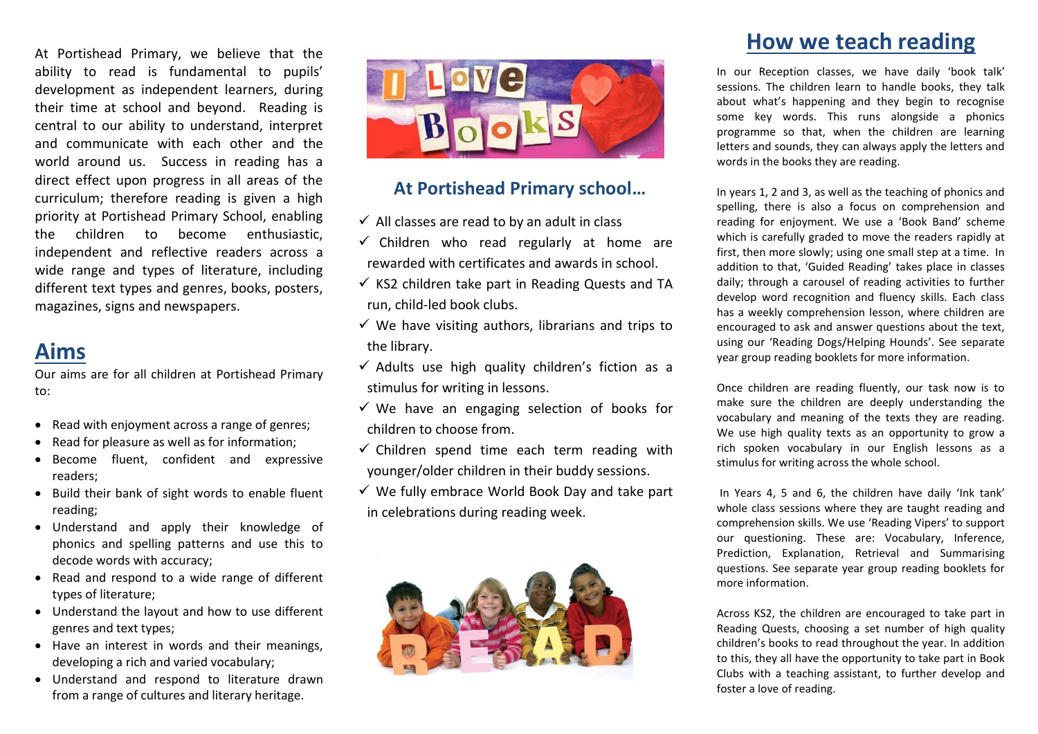At Portishead Primary, we believe that the ability to read is fundamental to pupils' development as independent learners, during their time at school and beyond. Reading is central to our ability to understand, interpret and communicate with each other and the world around us. Success in reading has a direct effect upon progress in all areas of the curriculum; therefore reading is given a high priority at Portishead Primary School, enabling the children to become enthusiastic, independent and reflective readers across a wide range and types of literature, including different text types and genres, books, posters, magazines, signs and newspapers.

### **Aims**

Our aims are for all children at Portishead Primary to:

- Read with enjoyment across a range of genres;
- Read for pleasure as well as for information;
- Become fluent, confident and expressive readers;
- Build their bank of sight words to enable fluent reading;
- Understand and apply their knowledge of phonics and spelling patterns and use this to decode words with accuracy;
- Read and respond to a wide range of different types of literature;
- Understand the layout and how to use different genres and text types;
- Have an interest in words and their meanings, developing a rich and varied vocabulary;
- Understand and respond to literature drawn from a range of cultures and literary heritage.



#### **At Portishead Primary school…**

- $\checkmark$  All classes are read to by an adult in class
- $\checkmark$  Children who read regularly at home are rewarded with certificates and awards in school.
- $\checkmark$  KS2 children take part in Reading Quests and TA run, child-led book clubs.
- $\checkmark$  We have visiting authors, librarians and trips to the library.
- $\checkmark$  Adults use high quality children's fiction as a stimulus for writing in lessons.
- $\checkmark$  We have an engaging selection of books for children to choose from.
- $\checkmark$  Children spend time each term reading with younger/older children in their buddy sessions.
- $\checkmark$  We fully embrace World Book Day and take part in celebrations during reading week.



## **How we teach reading**

In our Reception classes, we have daily 'book talk' sessions. The children learn to handle books, they talk about what's happening and they begin to recognise some key words. This runs alongside a phonics programme so that, when the children are learning letters and sounds, they can always apply the letters and words in the books they are reading.

In years 1, 2 and 3, as well as the teaching of phonics and spelling, there is also a focus on comprehension and reading for enjoyment. We use a 'Book Band' scheme which is carefully graded to move the readers rapidly at first, then more slowly; using one small step at a time. In addition to that, 'Guided Reading' takes place in classes daily; through a carousel of reading activities to further develop word recognition and fluency skills. Each class has a weekly comprehension lesson, where children are encouraged to ask and answer questions about the text, using our 'Reading Dogs/Helping Hounds'. See separate year group reading booklets for more information.

Once children are reading fluently, our task now is to make sure the children are deeply understanding the vocabulary and meaning of the texts they are reading. We use high quality texts as an opportunity to grow a rich spoken vocabulary in our English lessons as a stimulus for writing across the whole school.

In Years 4, 5 and 6, the children have daily 'Ink tank' whole class sessions where they are taught reading and comprehension skills. We use 'Reading Vipers' to support our questioning. These are: Vocabulary, Inference, Prediction, Explanation, Retrieval and Summarising questions. See separate year group reading booklets for more information.

Across KS2, the children are encouraged to take part in Reading Quests, choosing a set number of high quality children's books to read throughout the year. In addition to this, they all have the opportunity to take part in Book Clubs with a teaching assistant, to further develop and foster a love of reading.